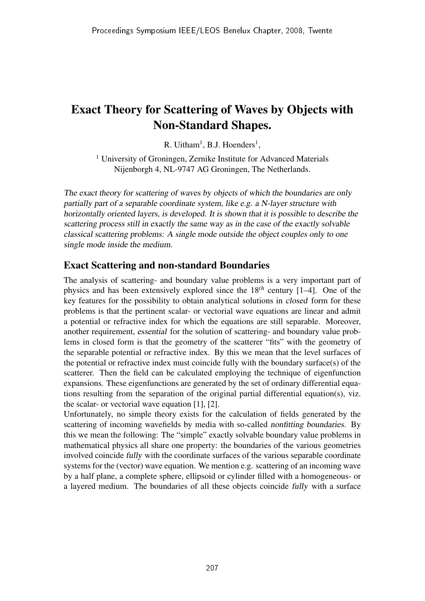## Exact Theory for Scattering of Waves by Objects with Non-Standard Shapes.

 $R$ . Uitham<sup>1</sup>, B.J. Hoenders<sup>1</sup>,

<sup>1</sup> University of Groningen, Zernike Institute for Advanced Materials Nijenborgh 4, NL-9747 AG Groningen, The Netherlands.

The exact theory for scattering of waves by objects of which the boundaries are only partially part of <sup>a</sup> separable coordinate system, like e.g. <sup>a</sup> N-layer structure with horizontally oriented layers, is developed. It is shown that it is possible to describe the scattering process still in exactly the same way as in the case of the exactly solvable classical scattering problems: <sup>A</sup> single mode outside the object couples only to one single mode inside the medium.

## Exact Scattering and non-standard Boundaries

The analysis of scattering- and boundary value problems is a very important part of physics and has been extensively explored since the 18*th* century [1–4]. One of the key features for the possibility to obtain analytical solutions in closed form for these problems is that the pertinent scalar- or vectorial wave equations are linear and admit a potential or refractive index for which the equations are still separable. Moreover, another requirement, essential for the solution of scattering- and boundary value problems in closed form is that the geometry of the scatterer "fits" with the geometry of the separable potential or refractive index. By this we mean that the level surfaces of the potential or refractive index must coincide fully with the boundary surface(s) of the scatterer. Then the field can be calculated employing the technique of eigenfunction expansions. These eigenfunctions are generated by the set of ordinary differential equations resulting from the separation of the original partial differential equation(s), viz. the scalar- or vectorial wave equation [1], [2].

Unfortunately, no simple theory exists for the calculation of fields generated by the scattering of incoming wavefields by media with so-called nonfitting boundaries. By this we mean the following: The "simple" exactly solvable boundary value problems in mathematical physics all share one property: the boundaries of the various geometries involved coincide fully with the coordinate surfaces of the various separable coordinate systems for the (vector) wave equation. We mention e.g. scattering of an incoming wave by a half plane, a complete sphere, ellipsoid or cylinder filled with a homogeneous- or a layered medium. The boundaries of all these objects coincide fully with a surface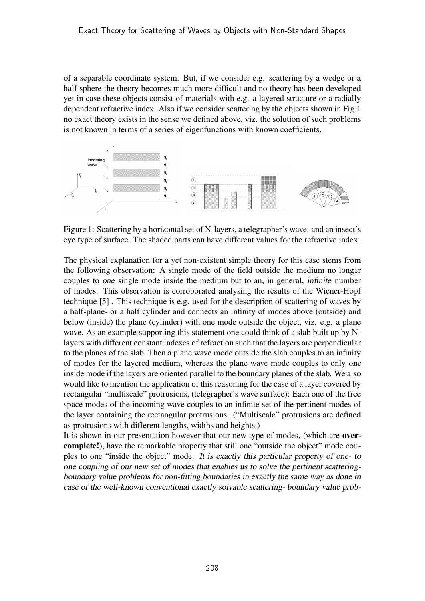of a separable coordinate system. But, if we consider e.g. scattering by a wedge or a half sphere the theory becomes much more difficult and no theory has been developed yet in case these objects consist of materials with e.g. a layered structure or a radially dependent refractive index. Also if we consider scattering by the objects shown in Fig.1 no exact theory exists in the sense we defined above, viz. the solution of such problems is not known in terms of a series of eigenfunctions with known coefficients.



Figure 1: Scattering by a horizontal set of N-layers, a telegrapher's wave- and an insect's eye type of surface. The shaded parts can have different values for the refractive index.

The physical explanation for a yet non-existent simple theory for this case stems from the following observation: A single mode of the field outside the medium no longer couples to one single mode inside the medium but to an, in general, infinite number of modes. This observation is corroborated analysing the results of the Wiener-Hopf technique [5] . This technique is e.g. used for the description of scattering of waves by a half-plane- or a half cylinder and connects an infinity of modes above (outside) and below (inside) the plane (cylinder) with one mode outside the object, viz. e.g. a plane wave. As an example supporting this statement one could think of a slab built up by Nlayers with different constant indexes of refraction such that the layers are perpendicular to the planes of the slab. Then a plane wave mode outside the slab couples to an infinity of modes for the layered medium, whereas the plane wave mode couples to only one inside mode if the layers are oriented parallel to the boundary planes of the slab. We also would like to mention the application of this reasoning for the case of a layer covered by rectangular "multiscale" protrusions, (telegrapher's wave surface): Each one of the free space modes of the incoming wave couples to an infinite set of the pertinent modes of the layer containing the rectangular protrusions. ("Multiscale" protrusions are defined as protrusions with different lengths, widths and heights.)

It is shown in our presentation however that our new type of modes, (which are overcomplete!), have the remarkable property that still one "outside the object" mode couples to one "inside the object" mode. It is exactly this particular property of one- to one coupling of our new set of modes that enables us to solve the pertinent scatteringboundary value problems for non-fitting boundaries in exactly the same way as done in case of the well-known conventional exactly solvable scattering- boundary value prob-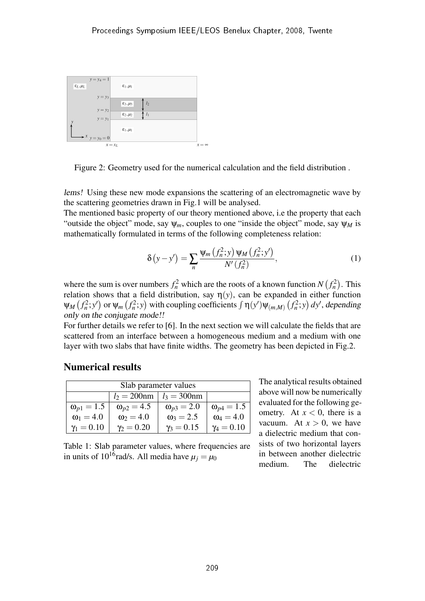

Figure 2: Geometry used for the numerical calculation and the field distribution .

lems! Using these new mode expansions the scattering of an electromagnetic wave by the scattering geometries drawn in Fig.1 will be analysed.

The mentioned basic property of our theory mentioned above, i.e the property that each "outside the object" mode, say  $\psi_m$ , couples to one "inside the object" mode, say  $\psi_M$  is mathematically formulated in terms of the following completeness relation:

$$
\delta(y - y') = \sum_{n} \frac{\Psi_m(f_n^2; y) \Psi_M(f_n^2; y')}{N'(f_n^2)},
$$
\n(1)

where the sum is over numbers  $f_n^2$  which are the roots of a known function *N* ¡  $f_n^2$ ¢ . This relation shows that a field distribution, say  $\eta(y)$ , can be expanded in either function ψ*<sup>M</sup>* ָu on sno $f_n^2$ ;  $y'$ ) or ψ*<sup>m</sup>* ä  $f_n^2$ ; *y*  $\phi$  with coupling coefficients  $\int \eta(y') \psi_{(m,M)}$  $\frac{1}{2}$  $f_n^2$ ; *y*  $\partial$  enter function<br>*dy*, depending only on the conjugate mode!!

For further details we refer to [6]. In the next section we will calculate the fields that are scattered from an interface between a homogeneous medium and a medium with one layer with two slabs that have finite widths. The geometry has been depicted in Fig.2.

## Numerical results

| Slab parameter values |                     |                     |                     |
|-----------------------|---------------------|---------------------|---------------------|
|                       | $l_2 = 200$ nm      | $l_3 = 300$ nm      |                     |
| $\omega_{p1} = 1.5$   | $\omega_{p2} = 4.5$ | $\omega_{p3} = 2.0$ | $\omega_{p4} = 1.5$ |
| $\omega_1 = 4.0$      | $\omega_2 = 4.0$    | $\omega_3 = 2.5$    | $\omega_4 = 4.0$    |
| $\gamma_1 = 0.10$     | $\gamma_2 = 0.20$   | $\gamma_3 = 0.15$   | $\gamma_4 = 0.10$   |

The analytical results obtained above will now be numerically evaluated for the following geometry. At  $x < 0$ , there is a vacuum. At  $x > 0$ , we have a dielectric medium that consists of two horizontal layers in between another dielectric medium. The dielectric

Table 1: Slab parameter values, where frequencies are in units of 10<sup>16</sup> rad/s. All media have  $\mu_j = \mu_0$